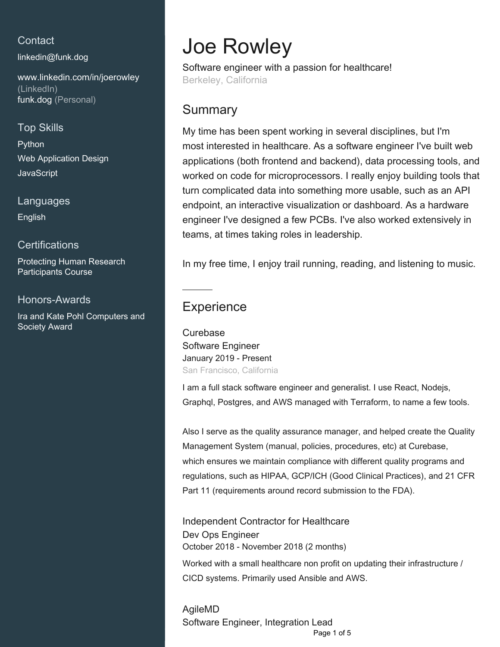## **Contact**

[linkedin@funk.dog](mailto:linkedin@funk.dog)

[www.linkedin.com/in/joerowley](https://www.linkedin.com/in/joerowley?jobid=1234&lipi=urn%3Ali%3Apage%3Ad_jobs_easyapply_pdfgenresume%3BOpvFQbN1QtObgLggLdvmEA%3D%3D&licu=urn%3Ali%3Acontrol%3Ad_jobs_easyapply_pdfgenresume-v02_profile) [\(LinkedIn\)](https://www.linkedin.com/in/joerowley?jobid=1234&lipi=urn%3Ali%3Apage%3Ad_jobs_easyapply_pdfgenresume%3BOpvFQbN1QtObgLggLdvmEA%3D%3D&licu=urn%3Ali%3Acontrol%3Ad_jobs_easyapply_pdfgenresume-v02_profile) [funk.dog \(Personal\)](http://funk.dog)

## Top Skills

Python Web Application Design **JavaScript** 

Languages English

### **Certifications**

Protecting Human Research Participants Course

#### Honors-Awards

Ira and Kate Pohl Computers and Society Award

# Joe Rowley

Software engineer with a passion for healthcare! Berkeley, California

## **Summary**

My time has been spent working in several disciplines, but I'm most interested in healthcare. As a software engineer I've built web applications (both frontend and backend), data processing tools, and worked on code for microprocessors. I really enjoy building tools that turn complicated data into something more usable, such as an API endpoint, an interactive visualization or dashboard. As a hardware engineer I've designed a few PCBs. I've also worked extensively in teams, at times taking roles in leadership.

In my free time, I enjoy trail running, reading, and listening to music.

# **Experience**

**Curebase** Software Engineer January 2019 - Present San Francisco, California

I am a full stack software engineer and generalist. I use React, Nodejs, Graphql, Postgres, and AWS managed with Terraform, to name a few tools.

Also I serve as the quality assurance manager, and helped create the Quality Management System (manual, policies, procedures, etc) at Curebase, which ensures we maintain compliance with different quality programs and regulations, such as HIPAA, GCP/ICH (Good Clinical Practices), and 21 CFR Part 11 (requirements around record submission to the FDA).

Independent Contractor for Healthcare Dev Ops Engineer October 2018 - November 2018 (2 months)

Worked with a small healthcare non profit on updating their infrastructure / CICD systems. Primarily used Ansible and AWS.

AgileMD Software Engineer, Integration Lead Page 1 of 5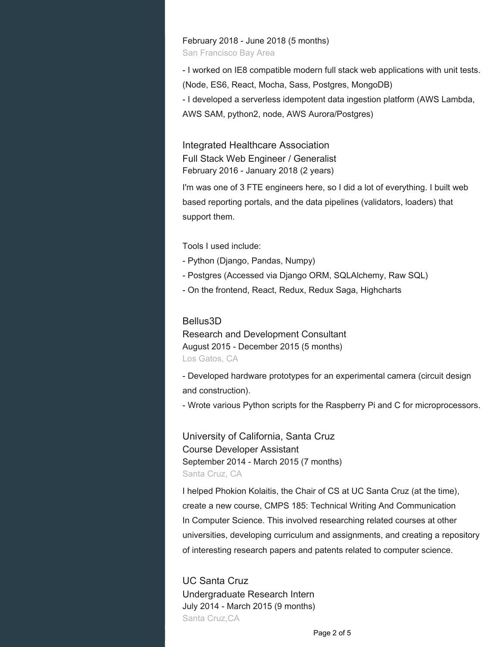February 2018 - June 2018 (5 months)

San Francisco Bay Area

- I worked on IE8 compatible modern full stack web applications with unit tests. (Node, ES6, React, Mocha, Sass, Postgres, MongoDB) - I developed a serverless idempotent data ingestion platform (AWS Lambda, AWS SAM, python2, node, AWS Aurora/Postgres)

Integrated Healthcare Association Full Stack Web Engineer / Generalist February 2016 - January 2018 (2 years)

I'm was one of 3 FTE engineers here, so I did a lot of everything. I built web based reporting portals, and the data pipelines (validators, loaders) that support them.

Tools I used include:

- Python (Django, Pandas, Numpy)
- Postgres (Accessed via Django ORM, SQLAlchemy, Raw SQL)
- On the frontend, React, Redux, Redux Saga, Highcharts

#### Bellus3D

Research and Development Consultant August 2015 - December 2015 (5 months) Los Gatos, CA

- Developed hardware prototypes for an experimental camera (circuit design and construction).

- Wrote various Python scripts for the Raspberry Pi and C for microprocessors.

University of California, Santa Cruz Course Developer Assistant September 2014 - March 2015 (7 months) Santa Cruz, CA

I helped Phokion Kolaitis, the Chair of CS at UC Santa Cruz (at the time), create a new course, CMPS 185: Technical Writing And Communication In Computer Science. This involved researching related courses at other universities, developing curriculum and assignments, and creating a repository of interesting research papers and patents related to computer science.

UC Santa Cruz Undergraduate Research Intern July 2014 - March 2015 (9 months) Santa Cruz,CA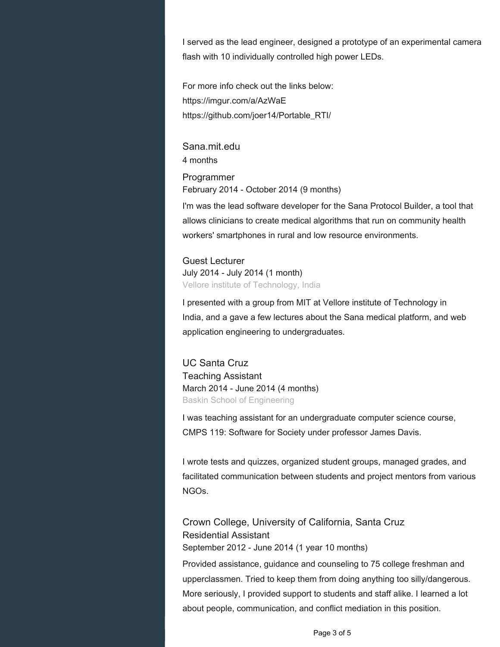I served as the lead engineer, designed a prototype of an experimental camera flash with 10 individually controlled high power LEDs.

For more info check out the links below: https://imgur.com/a/AzWaE https://github.com/joer14/Portable\_RTI/

Sana.mit.edu 4 months

Programmer February 2014 - October 2014 (9 months)

I'm was the lead software developer for the Sana Protocol Builder, a tool that allows clinicians to create medical algorithms that run on community health workers' smartphones in rural and low resource environments.

Guest Lecturer July 2014 - July 2014 (1 month) Vellore institute of Technology, India

I presented with a group from MIT at Vellore institute of Technology in India, and a gave a few lectures about the Sana medical platform, and web application engineering to undergraduates.

UC Santa Cruz Teaching Assistant March 2014 - June 2014 (4 months) Baskin School of Engineering

I was teaching assistant for an undergraduate computer science course, CMPS 119: Software for Society under professor James Davis.

I wrote tests and quizzes, organized student groups, managed grades, and facilitated communication between students and project mentors from various NGOs.

Crown College, University of California, Santa Cruz Residential Assistant September 2012 - June 2014 (1 year 10 months)

Provided assistance, guidance and counseling to 75 college freshman and upperclassmen. Tried to keep them from doing anything too silly/dangerous. More seriously, I provided support to students and staff alike. I learned a lot about people, communication, and conflict mediation in this position.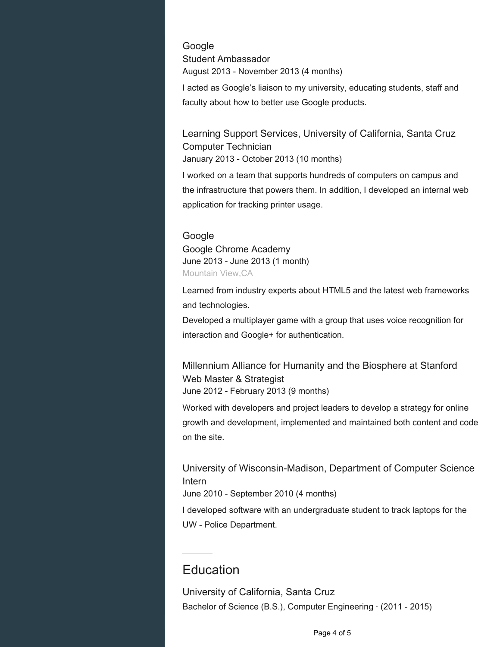**Google** Student Ambassador August 2013 - November 2013 (4 months)

I acted as Google's liaison to my university, educating students, staff and faculty about how to better use Google products.

Learning Support Services, University of California, Santa Cruz Computer Technician January 2013 - October 2013 (10 months)

I worked on a team that supports hundreds of computers on campus and the infrastructure that powers them. In addition, I developed an internal web application for tracking printer usage.

#### **Google**

Google Chrome Academy June 2013 - June 2013 (1 month) Mountain View,CA

Learned from industry experts about HTML5 and the latest web frameworks and technologies.

Developed a multiplayer game with a group that uses voice recognition for interaction and Google+ for authentication.

Millennium Alliance for Humanity and the Biosphere at Stanford Web Master & Strategist June 2012 - February 2013 (9 months)

Worked with developers and project leaders to develop a strategy for online growth and development, implemented and maintained both content and code on the site.

University of Wisconsin-Madison, Department of Computer Science Intern

June 2010 - September 2010 (4 months)

I developed software with an undergraduate student to track laptops for the UW - Police Department.

## **Education**

University of California, Santa Cruz Bachelor of Science (B.S.), Computer Engineering · (2011 - 2015)